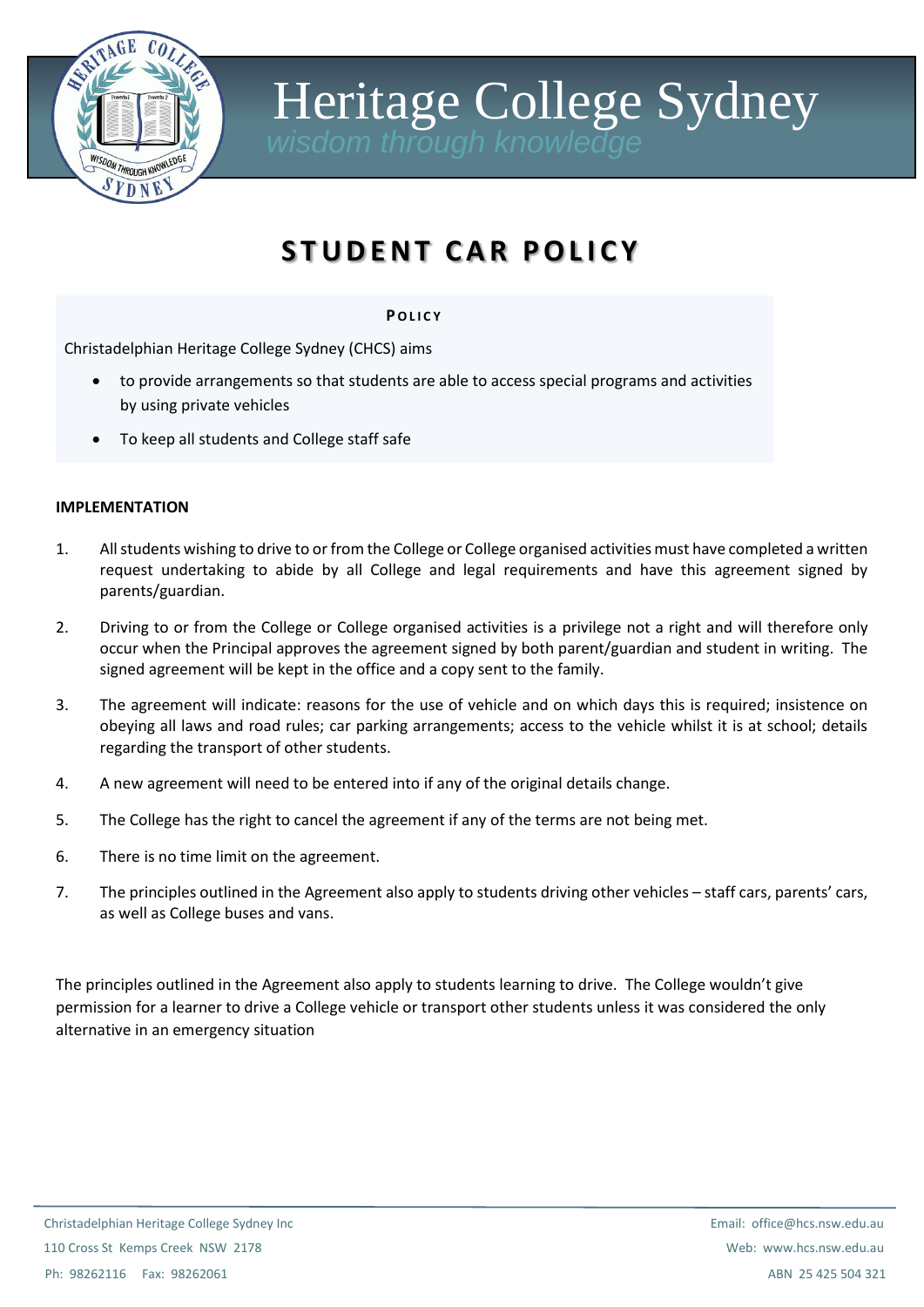

Heritage College Sydney

## **S T U D E N T C A R P O L I C Y**

## **P O L I C Y**

Christadelphian Heritage College Sydney (CHCS) aims

- to provide arrangements so that students are able to access special programs and activities by using private vehicles
- To keep all students and College staff safe

## **IMPLEMENTATION**

- 1. All students wishing to drive to or from the College or College organised activities must have completed a written request undertaking to abide by all College and legal requirements and have this agreement signed by parents/guardian.
- 2. Driving to or from the College or College organised activities is a privilege not a right and will therefore only occur when the Principal approves the agreement signed by both parent/guardian and student in writing. The signed agreement will be kept in the office and a copy sent to the family.
- 3. The agreement will indicate: reasons for the use of vehicle and on which days this is required; insistence on obeying all laws and road rules; car parking arrangements; access to the vehicle whilst it is at school; details regarding the transport of other students.
- 4. A new agreement will need to be entered into if any of the original details change.
- 5. The College has the right to cancel the agreement if any of the terms are not being met.
- 6. There is no time limit on the agreement.
- 7. The principles outlined in the Agreement also apply to students driving other vehicles staff cars, parents' cars, as well as College buses and vans.

The principles outlined in the Agreement also apply to students learning to drive. The College wouldn't give permission for a learner to drive a College vehicle or transport other students unless it was considered the only alternative in an emergency situation